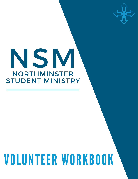

### N S M NORT HMIN STER STUDENT MINISTRY

# VOLUNTEER WORKBOOK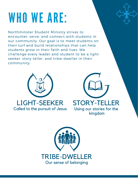## WHO WE ARE:

Northminster Student Ministry strives to encounter, serve, and connect with students in our community. Our goal is to meet students on their turf and build relationships that can help students grow in their faith and lives. We challenge every leader and student to be a lightseeker, story-teller, and tribe-dweller in their community.





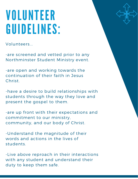### VOLUNTEER GUIDELINES:

Volunteers...

-are screened and vetted prior to any Northminster Student Ministry event.

-are open and working towards the continuation of their faith in Jesus Christ.

-have a desire to build relationships with students through the way they love and present the gospel to them.

-are up front with their expectations and commitment to our ministry, community, and our body of Christ.

-Understand the magnitude of their words and actions in the lives of students.

-Live above reproach in their interactions with any student and understand their duty to keep them safe.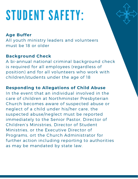## STUDENT SAFETY:

#### **Age Buffer**

All youth ministry leaders and volunteers must be 18 or older

#### **Background Check**

A bi-annual national criminal background check is required for all employees (regardless of position) and for all volunteers who work with children/students under the age of 18

#### **Responding to Allegations of Child Abuse**

In the event that an individual involved in the care of children at Northminster Presbyterian Church becomes aware of suspected abuse or neglect of a child under his/her care, the suspected abuse/neglect must be reported immediately to the Senior Pastor, Director of Children's Ministries, Director of Student Ministries, or the Executive Director of Programs, ort the Church Administrator for further action including reporting to authorities as may be mandated by state law.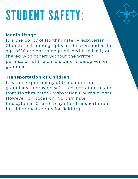## STUDENT SAFETY:

#### **Media Usage**

It is the policy of Northminster Presbyterian Church that photographs of children under the age of 18 are not to be published publically or shared with others without the written permission of the child's parent, caregiver, or guardian.

#### **Transportation of Children**

It is the responsibility of the parents or guardians to provide safe transportation to and from Northminster Presbyterian Church events. However, on occasion, Northminster Presbyterian Church may offer transportation for children/students for field trips